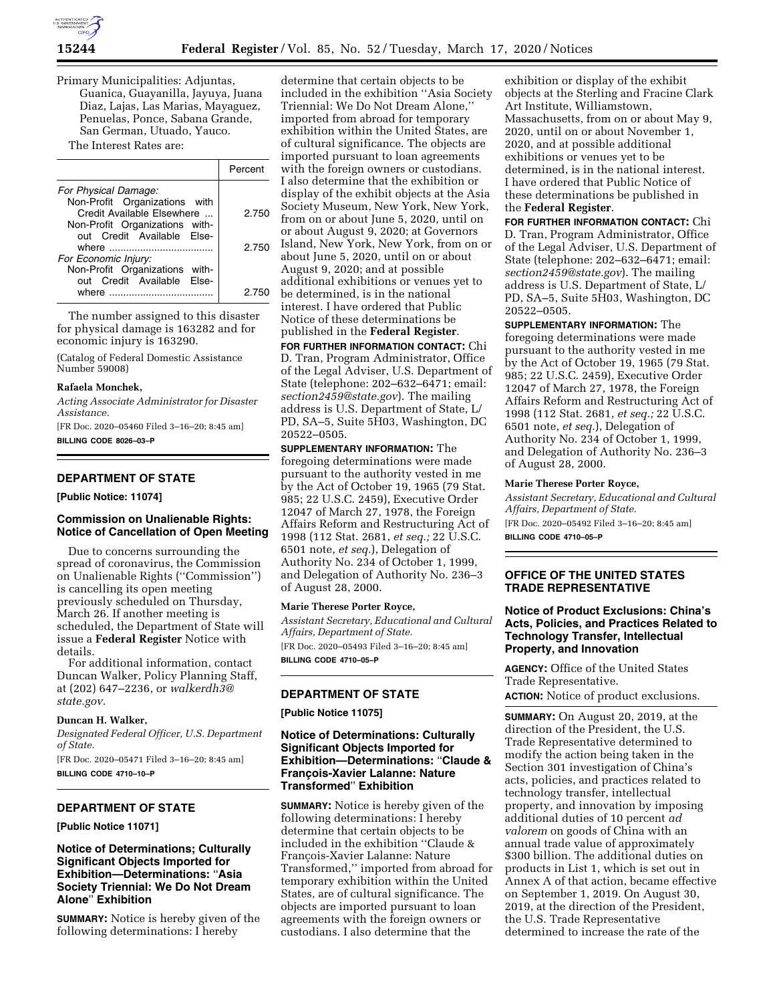

Primary Municipalities: Adjuntas, Guanica, Guayanilla, Jayuya, Juana Diaz, Lajas, Las Marias, Mayaguez, Penuelas, Ponce, Sabana Grande, San German, Utuado, Yauco.

The Interest Rates are:

|                                                                                               | Percent |  |
|-----------------------------------------------------------------------------------------------|---------|--|
| For Physical Damage:                                                                          |         |  |
| Non-Profit Organizations with<br>Credit Available Elsewhere<br>Non-Profit Organizations with- | 2.750   |  |
| out Credit Available Else-                                                                    | 2.750   |  |
| For Economic Injury:<br>Non-Profit Organizations with-<br>out Credit Available Else-          |         |  |
| where                                                                                         | 275     |  |

The number assigned to this disaster for physical damage is 163282 and for economic injury is 163290.

(Catalog of Federal Domestic Assistance Number 59008)

## **Rafaela Monchek,**

*Acting Associate Administrator for Disaster Assistance.* 

[FR Doc. 2020–05460 Filed 3–16–20; 8:45 am] **BILLING CODE 8026–03–P** 

# **DEPARTMENT OF STATE**

**[Public Notice: 11074]** 

# **Commission on Unalienable Rights: Notice of Cancellation of Open Meeting**

Due to concerns surrounding the spread of coronavirus, the Commission on Unalienable Rights (''Commission'') is cancelling its open meeting previously scheduled on Thursday, March 26. If another meeting is scheduled, the Department of State will issue a **Federal Register** Notice with details.

For additional information, contact Duncan Walker, Policy Planning Staff, at (202) 647–2236, or *[walkerdh3@](mailto:walkerdh3@state.gov) [state.gov.](mailto:walkerdh3@state.gov)* 

### **Duncan H. Walker,**

*Designated Federal Officer, U.S. Department of State.* 

[FR Doc. 2020–05471 Filed 3–16–20; 8:45 am] **BILLING CODE 4710–10–P** 

# **DEPARTMENT OF STATE**

**[Public Notice 11071]** 

**Notice of Determinations; Culturally Significant Objects Imported for Exhibition—Determinations:** ''**Asia Society Triennial: We Do Not Dream Alone**'' **Exhibition** 

**SUMMARY:** Notice is hereby given of the following determinations: I hereby

determine that certain objects to be included in the exhibition ''Asia Society Triennial: We Do Not Dream Alone,'' imported from abroad for temporary exhibition within the United States, are of cultural significance. The objects are imported pursuant to loan agreements with the foreign owners or custodians. I also determine that the exhibition or display of the exhibit objects at the Asia Society Museum, New York, New York, from on or about June 5, 2020, until on or about August 9, 2020; at Governors Island, New York, New York, from on or about June 5, 2020, until on or about August 9, 2020; and at possible additional exhibitions or venues yet to be determined, is in the national interest. I have ordered that Public Notice of these determinations be published in the **Federal Register**.

**FOR FURTHER INFORMATION CONTACT:** Chi D. Tran, Program Administrator, Office of the Legal Adviser, U.S. Department of State (telephone: 202–632–6471; email: *[section2459@state.gov](mailto:section2459@state.gov)*). The mailing address is U.S. Department of State, L/ PD, SA–5, Suite 5H03, Washington, DC 20522–0505.

**SUPPLEMENTARY INFORMATION:** The foregoing determinations were made pursuant to the authority vested in me by the Act of October 19, 1965 (79 Stat. 985; 22 U.S.C. 2459), Executive Order 12047 of March 27, 1978, the Foreign Affairs Reform and Restructuring Act of 1998 (112 Stat. 2681, *et seq.;* 22 U.S.C. 6501 note, *et seq.*), Delegation of Authority No. 234 of October 1, 1999, and Delegation of Authority No. 236–3 of August 28, 2000.

### **Marie Therese Porter Royce,**

*Assistant Secretary, Educational and Cultural Affairs, Department of State.*  [FR Doc. 2020–05493 Filed 3–16–20; 8:45 am] **BILLING CODE 4710–05–P** 

## **DEPARTMENT OF STATE**

**[Public Notice 11075]** 

# **Notice of Determinations: Culturally Significant Objects Imported for Exhibition—Determinations:** ''**Claude & Franc¸ois-Xavier Lalanne: Nature Transformed**'' **Exhibition**

**SUMMARY:** Notice is hereby given of the following determinations: I hereby determine that certain objects to be included in the exhibition ''Claude & Francois-Xavier Lalanne: Nature Transformed,'' imported from abroad for temporary exhibition within the United States, are of cultural significance. The objects are imported pursuant to loan agreements with the foreign owners or custodians. I also determine that the

exhibition or display of the exhibit objects at the Sterling and Fracine Clark Art Institute, Williamstown, Massachusetts, from on or about May 9, 2020, until on or about November 1, 2020, and at possible additional exhibitions or venues yet to be determined, is in the national interest. I have ordered that Public Notice of these determinations be published in the **Federal Register**.

# **FOR FURTHER INFORMATION CONTACT:** Chi D. Tran, Program Administrator, Office of the Legal Adviser, U.S. Department of

State (telephone: 202–632–6471; email: *[section2459@state.gov](mailto:section2459@state.gov)*). The mailing address is U.S. Department of State, L/ PD, SA–5, Suite 5H03, Washington, DC 20522–0505.

**SUPPLEMENTARY INFORMATION:** The

foregoing determinations were made pursuant to the authority vested in me by the Act of October 19, 1965 (79 Stat. 985; 22 U.S.C. 2459), Executive Order 12047 of March 27, 1978, the Foreign Affairs Reform and Restructuring Act of 1998 (112 Stat. 2681, *et seq.;* 22 U.S.C. 6501 note, *et seq.*), Delegation of Authority No. 234 of October 1, 1999, and Delegation of Authority No. 236–3 of August 28, 2000.

### **Marie Therese Porter Royce,**

*Assistant Secretary, Educational and Cultural Affairs, Department of State.*  [FR Doc. 2020–05492 Filed 3–16–20; 8:45 am]

**BILLING CODE 4710–05–P** 

## **OFFICE OF THE UNITED STATES TRADE REPRESENTATIVE**

# **Notice of Product Exclusions: China's Acts, Policies, and Practices Related to Technology Transfer, Intellectual Property, and Innovation**

**AGENCY:** Office of the United States Trade Representative. **ACTION:** Notice of product exclusions.

**SUMMARY:** On August 20, 2019, at the direction of the President, the U.S. Trade Representative determined to modify the action being taken in the Section 301 investigation of China's acts, policies, and practices related to technology transfer, intellectual property, and innovation by imposing additional duties of 10 percent *ad valorem* on goods of China with an annual trade value of approximately \$300 billion. The additional duties on products in List 1, which is set out in Annex A of that action, became effective on September 1, 2019. On August 30, 2019, at the direction of the President, the U.S. Trade Representative determined to increase the rate of the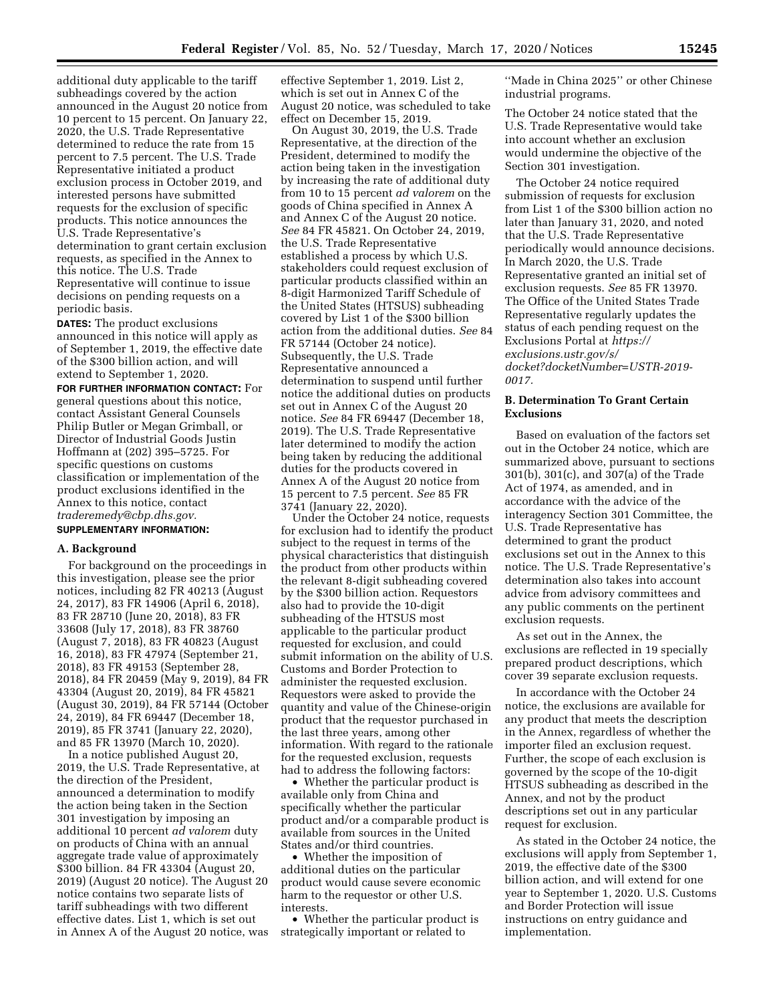additional duty applicable to the tariff subheadings covered by the action announced in the August 20 notice from 10 percent to 15 percent. On January 22, 2020, the U.S. Trade Representative determined to reduce the rate from 15 percent to 7.5 percent. The U.S. Trade Representative initiated a product exclusion process in October 2019, and interested persons have submitted requests for the exclusion of specific products. This notice announces the U.S. Trade Representative's determination to grant certain exclusion requests, as specified in the Annex to this notice. The U.S. Trade Representative will continue to issue decisions on pending requests on a periodic basis.

**DATES:** The product exclusions announced in this notice will apply as of September 1, 2019, the effective date of the \$300 billion action, and will extend to September 1, 2020.

**FOR FURTHER INFORMATION CONTACT:** For general questions about this notice, contact Assistant General Counsels Philip Butler or Megan Grimball, or Director of Industrial Goods Justin Hoffmann at (202) 395–5725. For specific questions on customs classification or implementation of the product exclusions identified in the Annex to this notice, contact *[traderemedy@cbp.dhs.gov.](mailto:traderemedy@cbp.dhs.gov)* 

# **SUPPLEMENTARY INFORMATION:**

## **A. Background**

For background on the proceedings in this investigation, please see the prior notices, including 82 FR 40213 (August 24, 2017), 83 FR 14906 (April 6, 2018), 83 FR 28710 (June 20, 2018), 83 FR 33608 (July 17, 2018), 83 FR 38760 (August 7, 2018), 83 FR 40823 (August 16, 2018), 83 FR 47974 (September 21, 2018), 83 FR 49153 (September 28, 2018), 84 FR 20459 (May 9, 2019), 84 FR 43304 (August 20, 2019), 84 FR 45821 (August 30, 2019), 84 FR 57144 (October 24, 2019), 84 FR 69447 (December 18, 2019), 85 FR 3741 (January 22, 2020), and 85 FR 13970 (March 10, 2020).

In a notice published August 20, 2019, the U.S. Trade Representative, at the direction of the President, announced a determination to modify the action being taken in the Section 301 investigation by imposing an additional 10 percent *ad valorem* duty on products of China with an annual aggregate trade value of approximately \$300 billion. 84 FR 43304 (August 20, 2019) (August 20 notice). The August 20 notice contains two separate lists of tariff subheadings with two different effective dates. List 1, which is set out in Annex A of the August 20 notice, was

effective September 1, 2019. List 2, which is set out in Annex C of the August 20 notice, was scheduled to take effect on December 15, 2019.

On August 30, 2019, the U.S. Trade Representative, at the direction of the President, determined to modify the action being taken in the investigation by increasing the rate of additional duty from 10 to 15 percent *ad valorem* on the goods of China specified in Annex A and Annex C of the August 20 notice. *See* 84 FR 45821. On October 24, 2019, the U.S. Trade Representative established a process by which U.S. stakeholders could request exclusion of particular products classified within an 8-digit Harmonized Tariff Schedule of the United States (HTSUS) subheading covered by List 1 of the \$300 billion action from the additional duties. *See* 84 FR 57144 (October 24 notice). Subsequently, the U.S. Trade Representative announced a determination to suspend until further notice the additional duties on products set out in Annex C of the August 20 notice. *See* 84 FR 69447 (December 18, 2019). The U.S. Trade Representative later determined to modify the action being taken by reducing the additional duties for the products covered in Annex A of the August 20 notice from 15 percent to 7.5 percent. *See* 85 FR 3741 (January 22, 2020).

Under the October 24 notice, requests for exclusion had to identify the product subject to the request in terms of the physical characteristics that distinguish the product from other products within the relevant 8-digit subheading covered by the \$300 billion action. Requestors also had to provide the 10-digit subheading of the HTSUS most applicable to the particular product requested for exclusion, and could submit information on the ability of U.S. Customs and Border Protection to administer the requested exclusion. Requestors were asked to provide the quantity and value of the Chinese-origin product that the requestor purchased in the last three years, among other information. With regard to the rationale for the requested exclusion, requests had to address the following factors:

• Whether the particular product is available only from China and specifically whether the particular product and/or a comparable product is available from sources in the United States and/or third countries.

• Whether the imposition of additional duties on the particular product would cause severe economic harm to the requestor or other U.S. interests.

• Whether the particular product is strategically important or related to

''Made in China 2025'' or other Chinese industrial programs.

The October 24 notice stated that the U.S. Trade Representative would take into account whether an exclusion would undermine the objective of the Section 301 investigation.

The October 24 notice required submission of requests for exclusion from List 1 of the \$300 billion action no later than January 31, 2020, and noted that the U.S. Trade Representative periodically would announce decisions. In March 2020, the U.S. Trade Representative granted an initial set of exclusion requests. *See* 85 FR 13970. The Office of the United States Trade Representative regularly updates the status of each pending request on the Exclusions Portal at *[https://](https://exclusions.ustr.gov/s/docket?docketNumber=USTR-2019-0017) [exclusions.ustr.gov/s/](https://exclusions.ustr.gov/s/docket?docketNumber=USTR-2019-0017)  [docket?docketNumber=USTR-2019-](https://exclusions.ustr.gov/s/docket?docketNumber=USTR-2019-0017) [0017.](https://exclusions.ustr.gov/s/docket?docketNumber=USTR-2019-0017)* 

## **B. Determination To Grant Certain Exclusions**

Based on evaluation of the factors set out in the October 24 notice, which are summarized above, pursuant to sections 301(b), 301(c), and 307(a) of the Trade Act of 1974, as amended, and in accordance with the advice of the interagency Section 301 Committee, the U.S. Trade Representative has determined to grant the product exclusions set out in the Annex to this notice. The U.S. Trade Representative's determination also takes into account advice from advisory committees and any public comments on the pertinent exclusion requests.

As set out in the Annex, the exclusions are reflected in 19 specially prepared product descriptions, which cover 39 separate exclusion requests.

In accordance with the October 24 notice, the exclusions are available for any product that meets the description in the Annex, regardless of whether the importer filed an exclusion request. Further, the scope of each exclusion is governed by the scope of the 10-digit HTSUS subheading as described in the Annex, and not by the product descriptions set out in any particular request for exclusion.

As stated in the October 24 notice, the exclusions will apply from September 1, 2019, the effective date of the \$300 billion action, and will extend for one year to September 1, 2020. U.S. Customs and Border Protection will issue instructions on entry guidance and implementation.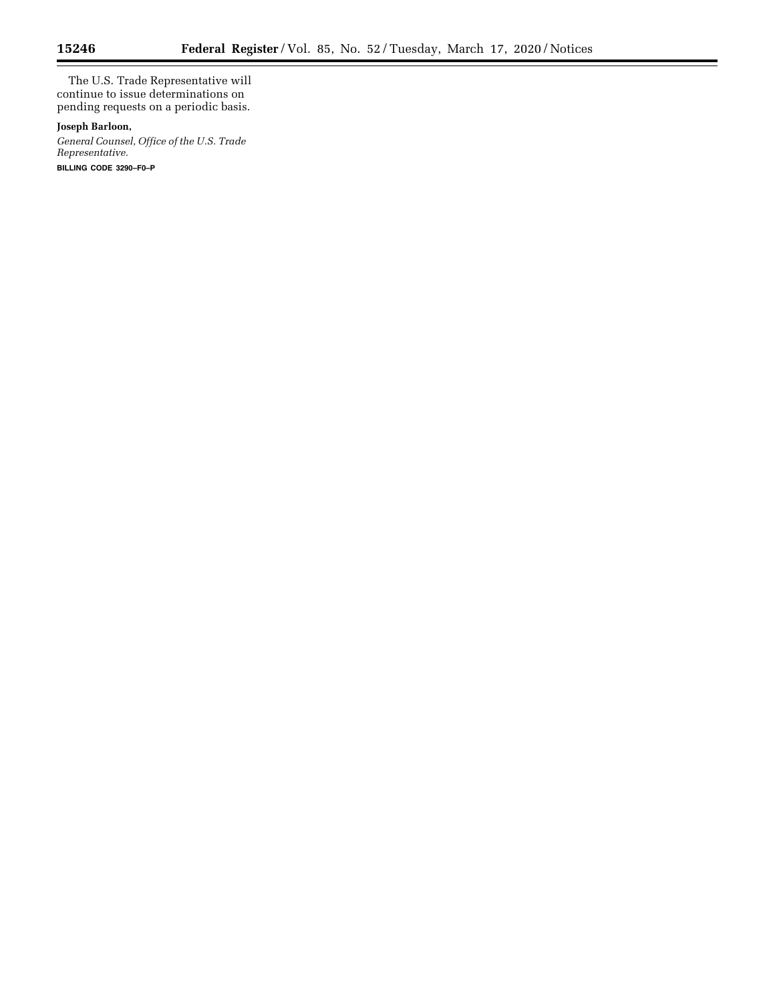$\equiv$ 

The U.S. Trade Representative will continue to issue determinations on pending requests on a periodic basis.

# **Joseph Barloon,**

*General Counsel, Office of the U.S. Trade Representative.*  **BILLING CODE 3290–F0–P**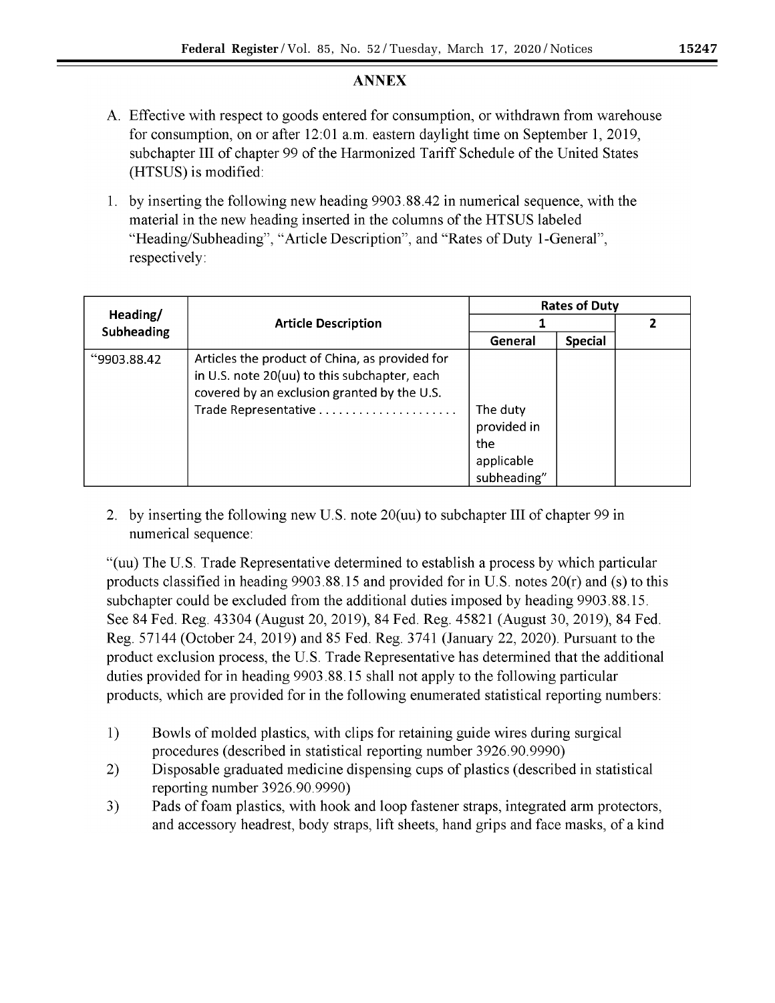# **ANNEX**

- A. Effective with respect to goods entered for consumption, or withdrawn from warehouse for consumption, on or after  $12:01$  a.m. eastern daylight time on September 1, 2019, subchapter III of chapter 99 of the Harmonized Tariff Schedule of the United States (HTSUS) is modified:
- 1. by inserting the following new heading 9903.88.42 in numerical sequence, with the material in the new heading inserted in the columns of the HTSUS labeled "Heading/Subheading", "Article Description", and "Rates of Duty 1-General", respectively:

| Heading/<br>Subheading | <b>Article Description</b>                     | <b>Rates of Duty</b> |                |  |
|------------------------|------------------------------------------------|----------------------|----------------|--|
|                        |                                                |                      |                |  |
|                        |                                                | General              | <b>Special</b> |  |
| "9903.88.42            | Articles the product of China, as provided for |                      |                |  |
|                        | in U.S. note 20(uu) to this subchapter, each   |                      |                |  |
|                        | covered by an exclusion granted by the U.S.    |                      |                |  |
|                        |                                                | The duty             |                |  |
|                        |                                                | provided in          |                |  |
|                        |                                                | the                  |                |  |
|                        |                                                | applicable           |                |  |
|                        |                                                | subheading"          |                |  |

2. by inserting the following new U.S. note 20(uu) to subchapter III of chapter 99 in numerical sequence:

"(uu) The U.S. Trade Representative determined to establish a process by which particular products classified in heading 9903.88.15 and provided for in U.S. notes  $20(r)$  and (s) to this subchapter could be excluded from the additional duties imposed by heading 9903.88.15. See 84 Fed. Reg. 43304 (August 20, 2019), 84 Fed. Reg. 45821 (August 30, 2019), 84 Fed. Reg. 57144 (October 24, 2019) and 85 Fed. Reg. 3741 (January 22, 2020). Pursuant to the product exclusion process, the U.S. Trade Representative has determined that the additional duties provided for in heading 9903.88.15 shall not apply to the following particular products, which are provided for in the following enumerated statistical reporting numbers:

- $1)$ Bowls of molded plastics, with clips for retaining guide wires during surgical procedures (described in statistical reporting number 3926.90.9990)
- $2)$ Disposable graduated medicine dispensing cups of plastics (described in statistical reporting number 3926.90.9990)
- 3) Pads of foam plastics, with hook and loop fastener straps, integrated arm protectors, and accessory headrest, body straps, lift sheets, hand grips and face masks, of a kind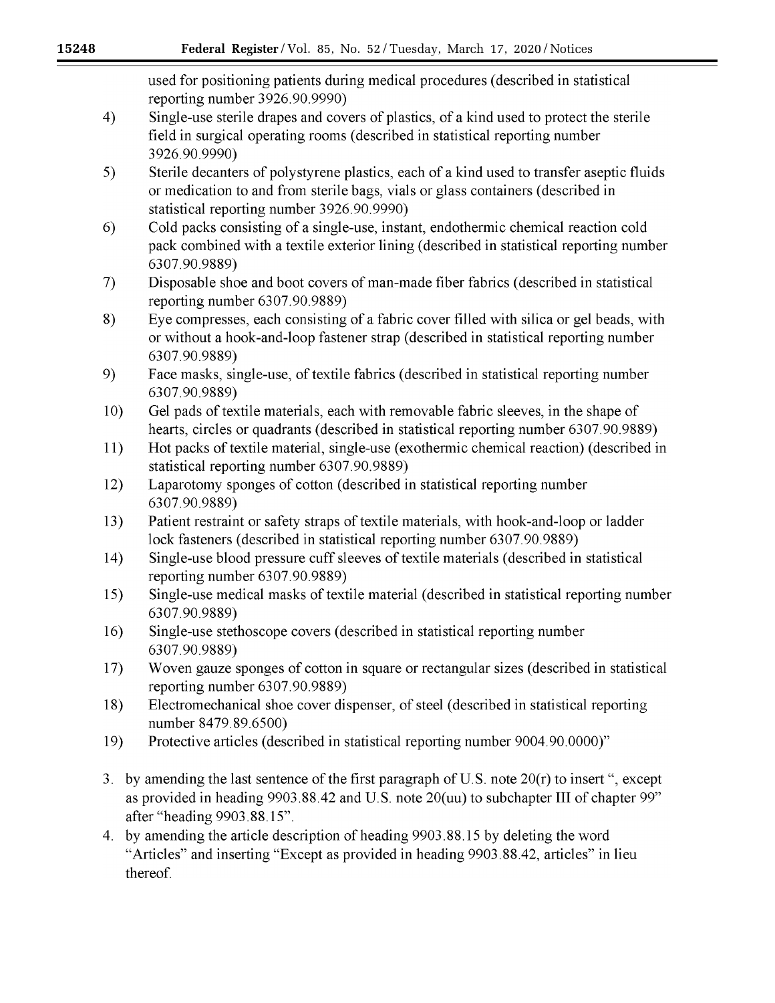used for positioning patients during medical procedures (described in statistical reporting number 3926.90.9990)

- $4)$ Single-use sterile drapes and covers of plastics, of a kind used to protect the sterile field in surgical operating rooms (described in statistical reporting number 3926.90.9990)
- $5)$ Sterile decanters of polystyrene plastics, each of a kind used to transfer aseptic fluids or medication to and from sterile bags, vials or glass containers (described in statistical reporting number 3926.90.9990)
- $6)$ Cold packs consisting of a single-use, instant, endothermic chemical reaction cold pack combined with a textile exterior lining (described in statistical reporting number 6307.90.9889)
- $(7)$ Disposable shoe and boot covers of man-made fiber fabrics (described in statistical reporting number 6307.90.9889)
- 8) Eye compresses, each consisting of a fabric cover filled with silica or gel beads, with or without a hook-and-loop fastener strap (described in statistical reporting number 6307.90.9889)
- 9) Face masks, single-use, of textile fabrics (described in statistical reporting number 6307.90.9889)
- 10) Gel pads of textile materials, each with removable fabric sleeves, in the shape of hearts, circles or quadrants (described in statistical reporting number 6307.90.9889)
- $11)$ Hot packs of textile material, single-use (exothermic chemical reaction) (described in statistical reporting number 6307.90.9889)
- Laparotomy sponges of cotton (described in statistical reporting number 12) 6307.90.9889)
- 13) Patient restraint or safety straps of textile materials, with hook-and-loop or ladder lock fasteners (described in statistical reporting number 6307.90.9889)
- Single-use blood pressure cuff sleeves of textile materials (described in statistical 14) reporting number 6307.90.9889)
- 15) Single-use medical masks of textile material (described in statistical reporting number 6307.90.9889)
- Single-use stethoscope covers (described in statistical reporting number 16) 6307.90.9889)
- Woven gauze sponges of cotton in square or rectangular sizes (described in statistical 17) reporting number 6307.90.9889)
- 18) Electromechanical shoe cover dispenser, of steel (described in statistical reporting number 8479.89.6500)
- 19) Protective articles (described in statistical reporting number 9004.90.0000)"
- 3. by amending the last sentence of the first paragraph of U.S. note  $20(r)$  to insert ", except as provided in heading 9903.88.42 and U.S. note 20(uu) to subchapter III of chapter 99" after "heading 9903.88.15".
- 4. by amending the article description of heading 9903.88.15 by deleting the word "Articles" and inserting "Except as provided in heading 9903.88.42, articles" in lieu thereof.